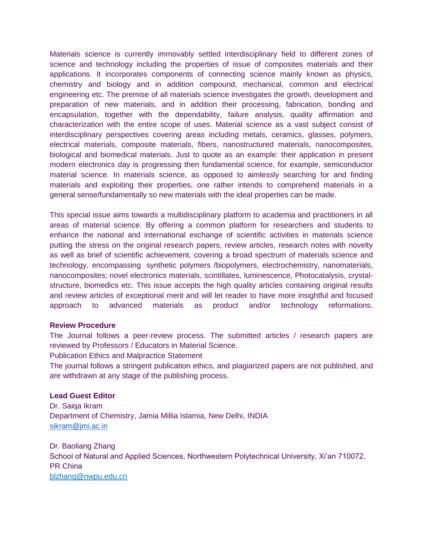Materials science is currently immovably settled interdisciplinary field to different zones of science and technology including the properties of issue of composites materials and their applications. It incorporates components of connecting science mainly known as physics, chemistry and biology and in addition compound, mechanical, common and electrical engineering etc. The premise of all materials science investigates the growth, development and preparation of new materials, and in addition their processing, fabrication, bonding and encapsulation, together with the dependability, failure analysis, quality affirmation and characterization with the entire scope of uses. Material science as a vast subject consist of interdisciplinary perspectives covering areas including metals, ceramics, glasses, polymers, electrical materials, composite materials, fibers, nanostructured materials, nanocomposites, biological and biomedical materials. Just to quote as an example: their application in present modern electronics day is progressing then fundamental science, for example, semiconductor material science. In materials science, as opposed to aimlessly searching for and finding materials and exploiting their properties, one rather intends to comprehend materials in a general sense/fundamentally so new materials with the ideal properties can be made.

This special issue aims towards a multidisciplinary platform to academia and practitioners in all areas of material science. By offering a common platform for researchers and students to enhance the national and international exchange of scientific activities in materials science putting the stress on the original research papers, review articles, research notes with novelty as well as brief of scientific achievement, covering a broad spectrum of materials science and technology, encompassing synthetic polymers /biopolymers, electrochemistry, nanomaterials, nanocomposites; novel electronics materials, scintillates, luminescence, Photocatalysis, crystalstructure, biomedics etc. This issue accepts the high quality articles containing original results and review articles of exceptional merit and will let reader to have more insightful and focused approach to advanced materials as product and/or technology reformations.

## **Review Procedure**

The Journal follows a peer-review process. The submitted articles / research papers are reviewed by Professors / Educators in Material Science.

Publication Ethics and Malpractice Statement

The journal follows a stringent publication ethics, and plagiarized papers are not published, and are withdrawn at any stage of the publishing process.

## **Lead Guest Editor**

Dr. Saiqa Ikram Department of Chemistry, Jamia Millia Islamia, New Delhi, INDIA [sikram@jmi.ac.in](mailto:sikram@jmi.ac.in)

Dr. Baoliang Zhang School of Natural and Applied Sciences, Northwestern Polytechnical University, Xi'an 710072, PR China [blzhang@nwpu.edu.cn](mailto:blzhang@nwpu.edu.cn)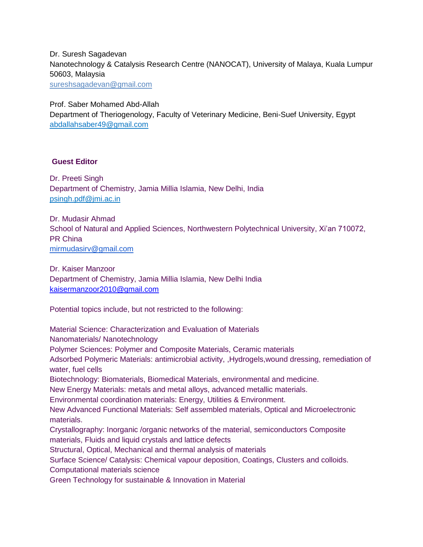Dr. Suresh Sagadevan Nanotechnology & Catalysis Research Centre (NANOCAT), University of Malaya, Kuala Lumpur 50603, Malaysia [sureshsagadevan@gmail.com](mailto:sureshsagadevan@gmail.com)

Prof. Saber Mohamed Abd-Allah

Department of Theriogenology, Faculty of Veterinary Medicine, Beni-Suef University, Egypt abdallahsaber49@gmail.com

## **Guest Editor**

Dr. Preeti Singh Department of Chemistry, Jamia Millia Islamia, New Delhi, India psingh.pdf@jmi.ac.in

Dr. Mudasir Ahmad School of Natural and Applied Sciences, Northwestern Polytechnical University, Xi'an 710072, PR China [mirmudasirv@gmail.com](mailto:mirmudasirv@gmail.com)

Dr. Kaiser Manzoor Department of Chemistry, Jamia Millia Islamia, New Delhi India [kaisermanzoor2010@gmail.com](mailto:kaisermanzoor2010@gmail.com)

Potential topics include, but not restricted to the following:

Material Science: Characterization and Evaluation of Materials Nanomaterials/ Nanotechnology Polymer Sciences: Polymer and Composite Materials, Ceramic materials Adsorbed Polymeric Materials: antimicrobial activity, ,Hydrogels,wound dressing, remediation of water, fuel cells Biotechnology: Biomaterials, Biomedical Materials, environmental and medicine. New Energy Materials: metals and metal alloys, advanced metallic materials. Environmental coordination materials: Energy, Utilities & Environment. New Advanced Functional Materials: Self assembled materials, Optical and Microelectronic materials. Crystallography: Inorganic /organic networks of the material, semiconductors Composite materials, Fluids and liquid crystals and lattice defects Structural, Optical, Mechanical and thermal analysis of materials Surface Science/ Catalysis: Chemical vapour deposition, Coatings, Clusters and colloids. Computational materials science Green Technology for sustainable & Innovation in Material